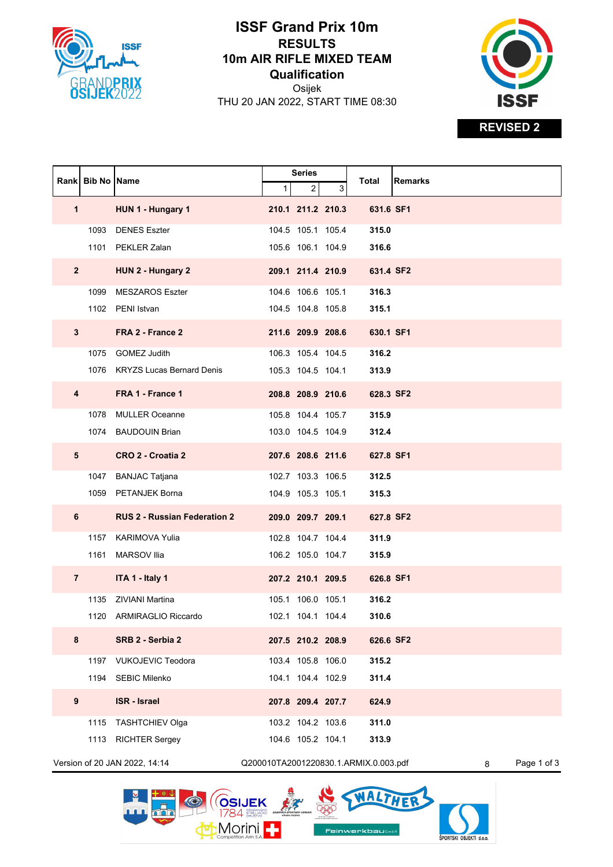

## **ISSF Grand Prix 10m RESULTS 10m AIR RIFLE MIXED TEAM Qualification**

Osijek THU 20 JAN 2022, START TIME 08:30



**REVISED 2**

|                               | Rank   Bib No   Name |                                     |   | <b>Series</b>     |   |                                       | <b>Remarks</b>   |
|-------------------------------|----------------------|-------------------------------------|---|-------------------|---|---------------------------------------|------------------|
|                               |                      |                                     | 1 | 2                 | 3 | Total                                 |                  |
| $\mathbf 1$                   |                      | HUN 1 - Hungary 1                   |   | 210.1 211.2 210.3 |   | 631.6 SF1                             |                  |
|                               | 1093                 | <b>DENES Eszter</b>                 |   | 104.5 105.1 105.4 |   | 315.0                                 |                  |
|                               |                      | 1101 PEKLER Zalan                   |   | 105.6 106.1 104.9 |   | 316.6                                 |                  |
| $\mathbf{2}$                  |                      | HUN 2 - Hungary 2                   |   | 209.1 211.4 210.9 |   | 631.4 SF2                             |                  |
|                               | 1099                 | <b>MESZAROS Eszter</b>              |   | 104.6 106.6 105.1 |   | 316.3                                 |                  |
|                               |                      | 1102 PENI Istvan                    |   | 104.5 104.8 105.8 |   | 315.1                                 |                  |
| 3                             |                      | FRA 2 - France 2                    |   | 211.6 209.9 208.6 |   | 630.1 SF1                             |                  |
|                               |                      | 1075 GOMEZ Judith                   |   | 106.3 105.4 104.5 |   | 316.2                                 |                  |
|                               |                      | 1076 KRYZS Lucas Bernard Denis      |   | 105.3 104.5 104.1 |   | 313.9                                 |                  |
| 4                             |                      | FRA 1 - France 1                    |   | 208.8 208.9 210.6 |   | 628.3 SF2                             |                  |
|                               |                      | 1078 MULLER Oceanne                 |   | 105.8 104.4 105.7 |   | 315.9                                 |                  |
|                               |                      | 1074 BAUDOUIN Brian                 |   | 103.0 104.5 104.9 |   | 312.4                                 |                  |
| 5                             |                      | CRO 2 - Croatia 2                   |   | 207.6 208.6 211.6 |   | 627.8 SF1                             |                  |
|                               | 1047                 | <b>BANJAC Tatjana</b>               |   | 102.7 103.3 106.5 |   | 312.5                                 |                  |
|                               |                      | 1059 PETANJEK Borna                 |   | 104.9 105.3 105.1 |   | 315.3                                 |                  |
| 6                             |                      | <b>RUS 2 - Russian Federation 2</b> |   | 209.0 209.7 209.1 |   | 627.8 SF2                             |                  |
|                               |                      | 1157 KARIMOVA Yulia                 |   | 102.8 104.7 104.4 |   | 311.9                                 |                  |
|                               | 1161                 | <b>MARSOV</b> Ilia                  |   | 106.2 105.0 104.7 |   | 315.9                                 |                  |
| $\overline{7}$                |                      | ITA 1 - Italy 1                     |   | 207.2 210.1 209.5 |   | 626.8 SF1                             |                  |
|                               | 1135                 | <b>ZIVIANI Martina</b>              |   | 105.1 106.0 105.1 |   | 316.2                                 |                  |
|                               |                      | 1120 ARMIRAGLIO Riccardo            |   | 102.1 104.1 104.4 |   | 310.6                                 |                  |
| 8                             |                      | SRB 2 - Serbia 2                    |   | 207.5 210.2 208.9 |   | 626.6 SF2                             |                  |
|                               |                      | 1197 VUKOJEVIC Teodora              |   | 103.4 105.8 106.0 |   | 315.2                                 |                  |
|                               |                      | 1194 SEBIC Milenko                  |   | 104.1 104.4 102.9 |   | 311.4                                 |                  |
| 9                             |                      | <b>ISR - Israel</b>                 |   | 207.8 209.4 207.7 |   | 624.9                                 |                  |
|                               | 1115                 | <b>TASHTCHIEV Olga</b>              |   | 103.2 104.2 103.6 |   | 311.0                                 |                  |
|                               | 1113                 | <b>RICHTER Sergey</b>               |   | 104.6 105.2 104.1 |   | 313.9                                 |                  |
| Version of 20 JAN 2022, 14:14 |                      |                                     |   |                   |   | Q200010TA2001220830.1.ARMIX.0.003.pdf | Page 1 of 3<br>8 |

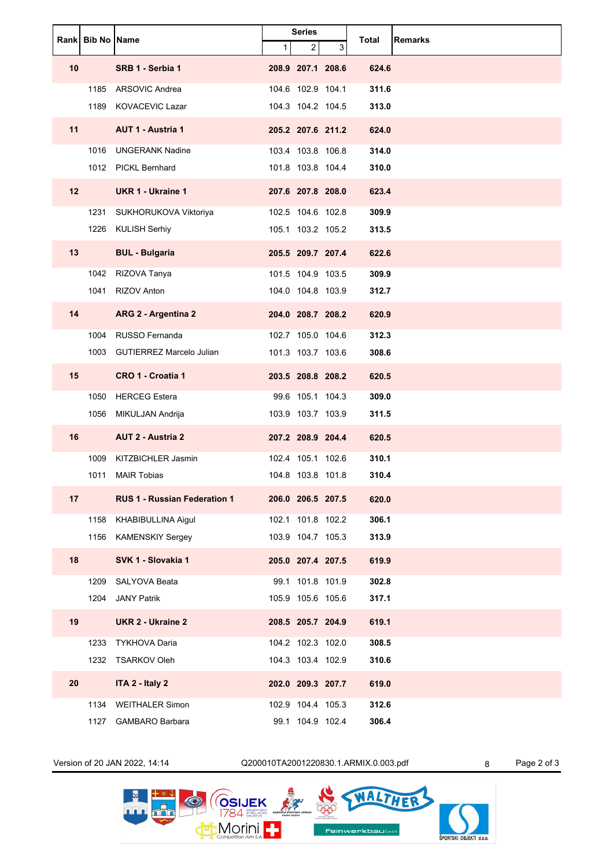|    | Rank Bib No Name |                                     | <b>Series</b> |                   |   | <b>Remarks</b> |  |
|----|------------------|-------------------------------------|---------------|-------------------|---|----------------|--|
|    |                  |                                     | $\mathbf{1}$  | $\overline{2}$    | 3 | Total          |  |
| 10 |                  | SRB 1 - Serbia 1                    |               | 208.9 207.1 208.6 |   | 624.6          |  |
|    | 1185             | ARSOVIC Andrea                      |               | 104.6 102.9 104.1 |   | 311.6          |  |
|    | 1189             | <b>KOVACEVIC Lazar</b>              |               | 104.3 104.2 104.5 |   | 313.0          |  |
| 11 |                  | <b>AUT 1 - Austria 1</b>            |               | 205.2 207.6 211.2 |   | 624.0          |  |
|    | 1016             | <b>UNGERANK Nadine</b>              |               | 103.4 103.8 106.8 |   | 314.0          |  |
|    |                  | 1012 PICKL Bernhard                 |               | 101.8 103.8 104.4 |   | 310.0          |  |
| 12 |                  | <b>UKR 1 - Ukraine 1</b>            |               | 207.6 207.8 208.0 |   | 623.4          |  |
|    | 1231             | SUKHORUKOVA Viktoriya               |               | 102.5 104.6 102.8 |   | 309.9          |  |
|    |                  | 1226 KULISH Serhiy                  |               | 105.1 103.2 105.2 |   | 313.5          |  |
| 13 |                  | <b>BUL - Bulgaria</b>               |               | 205.5 209.7 207.4 |   | 622.6          |  |
|    | 1042             | RIZOVA Tanya                        |               | 101.5 104.9 103.5 |   | 309.9          |  |
|    | 1041             | RIZOV Anton                         |               | 104.0 104.8 103.9 |   | 312.7          |  |
| 14 |                  | ARG 2 - Argentina 2                 |               | 204.0 208.7 208.2 |   | 620.9          |  |
|    | 1004             | RUSSO Fernanda                      |               | 102.7 105.0 104.6 |   | 312.3          |  |
|    | 1003             | <b>GUTIERREZ Marcelo Julian</b>     |               | 101.3 103.7 103.6 |   | 308.6          |  |
| 15 |                  | CRO 1 - Croatia 1                   |               | 203.5 208.8 208.2 |   | 620.5          |  |
|    | 1050             | <b>HERCEG Estera</b>                |               | 99.6 105.1 104.3  |   | 309.0          |  |
|    | 1056             | MIKULJAN Andrija                    |               | 103.9 103.7 103.9 |   | 311.5          |  |
| 16 |                  | <b>AUT 2 - Austria 2</b>            |               | 207.2 208.9 204.4 |   | 620.5          |  |
|    | 1009             | KITZBICHLER Jasmin                  |               | 102.4 105.1 102.6 |   | 310.1          |  |
|    | 1011             | <b>MAIR Tobias</b>                  |               | 104.8 103.8 101.8 |   | 310.4          |  |
| 17 |                  | <b>RUS 1 - Russian Federation 1</b> |               | 206.0 206.5 207.5 |   | 620.0          |  |
|    | 1158             | KHABIBULLINA Aigul                  |               | 102.1 101.8 102.2 |   | 306.1          |  |
|    |                  | 1156 KAMENSKIY Sergey               |               | 103.9 104.7 105.3 |   | 313.9          |  |
| 18 |                  | SVK 1 - Slovakia 1                  |               | 205.0 207.4 207.5 |   | 619.9          |  |
|    | 1209             | SALYOVA Beata                       |               | 99.1 101.8 101.9  |   | 302.8          |  |
|    | 1204             | <b>JANY Patrik</b>                  |               | 105.9 105.6 105.6 |   | 317.1          |  |
| 19 |                  | <b>UKR 2 - Ukraine 2</b>            |               | 208.5 205.7 204.9 |   | 619.1          |  |
|    | 1233             | <b>TYKHOVA Daria</b>                |               | 104.2 102.3 102.0 |   | 308.5          |  |
|    |                  | 1232 TSARKOV Oleh                   |               | 104.3 103.4 102.9 |   | 310.6          |  |
| 20 |                  | ITA 2 - Italy 2                     |               | 202.0 209.3 207.7 |   | 619.0          |  |
|    |                  | 1134 WEITHALER Simon                |               | 102.9 104.4 105.3 |   | 312.6          |  |
|    | 1127             | <b>GAMBARO Barbara</b>              |               | 99.1 104.9 102.4  |   | 306.4          |  |

Version of 20 JAN 2022, 14:14 Q200010TA2001220830.1.ARMIX.0.003.pdf 8 Page 2 of 3